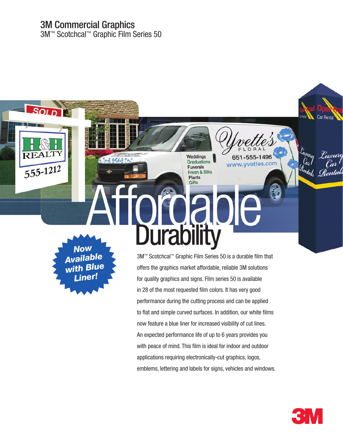## 3M Commercial Graphics

3M™ Scotchcal™ Graphic Film Series 50

*Now Available with Blue Liner!*

 $\frac{1}{555-1212}$ 

3M™ Scotchcal™ Graphic Film Series 50 is a durable film that offers the graphics market affordable, reliable 3M solutions for quality graphics and signs. Film series 50 is available in 28 of the most requested film colors. It has very good performance during the cutting process and can be applied to flat and simple curved surfaces. In addition, our white films now feature a blue liner for increased visibility of cut lines. An expected performance life of up to 6 years provides you with peace of mind. This film is ideal for indoor and outdoor applications requiring electronically-cut graphics, logos, emblems, lettering and labels for signs, vehicles and windows.

Affordable

Weddings **Graduations** 

**Funerals** 

**Fresh & Silks Plants** 

**Durability** 



Euscury

 $C_{a}$ 

<sup>t</sup>ental<sub>s</sub> <u>R</u>entals

651-555-1496

www.yvettes.com